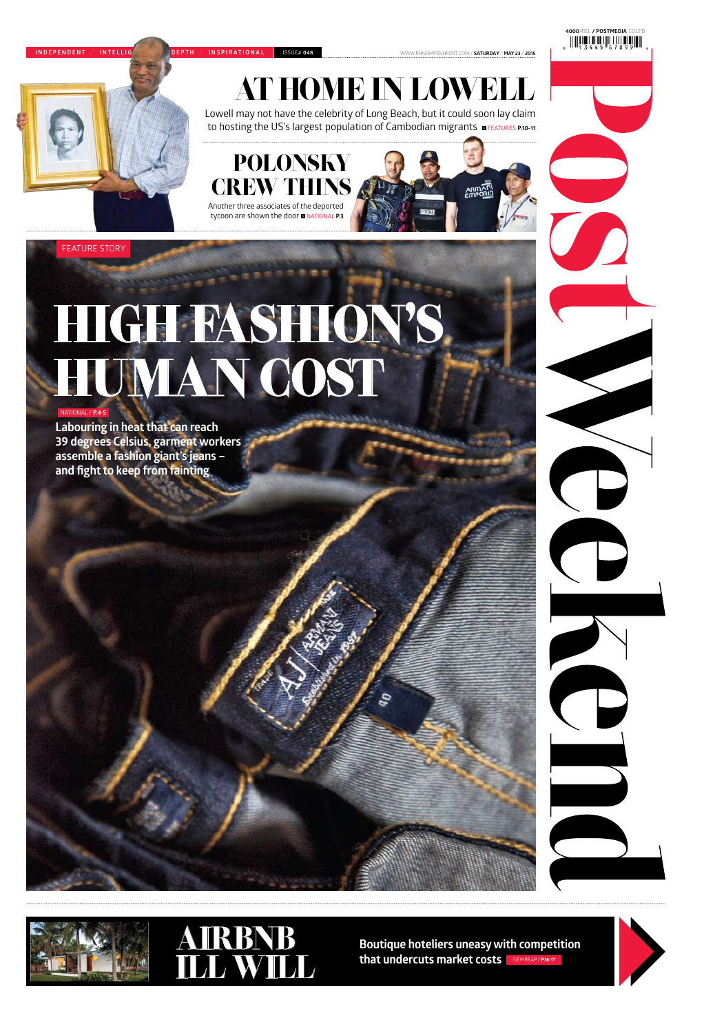**4000**Riel **/ postmedia** co.ltd

www.phnompenhpost.com / **Saturday** / **may 23** / **2015**

national / **P.4-5**

**Labouring in heat that can reach 39 degrees Celsius, garment workers assemble a fashion giant's jeans – and fight to keep from fainting**





Lowell may not have the celebrity of Long Beach, but it could soon lay claim to hosting the US's largest population of Cambodian migrants **EXEATURES P.10-11** 

## high fashion's human cost

#### feature story



**Boutique hoteliers uneasy with competition that undercuts market costs** siem reap / **P.16-17**



**I ndependent** / **I nte ll igent** / **I n-depth** / **I nspirationa l** issue# **<sup>048</sup>**

### at home in lowell

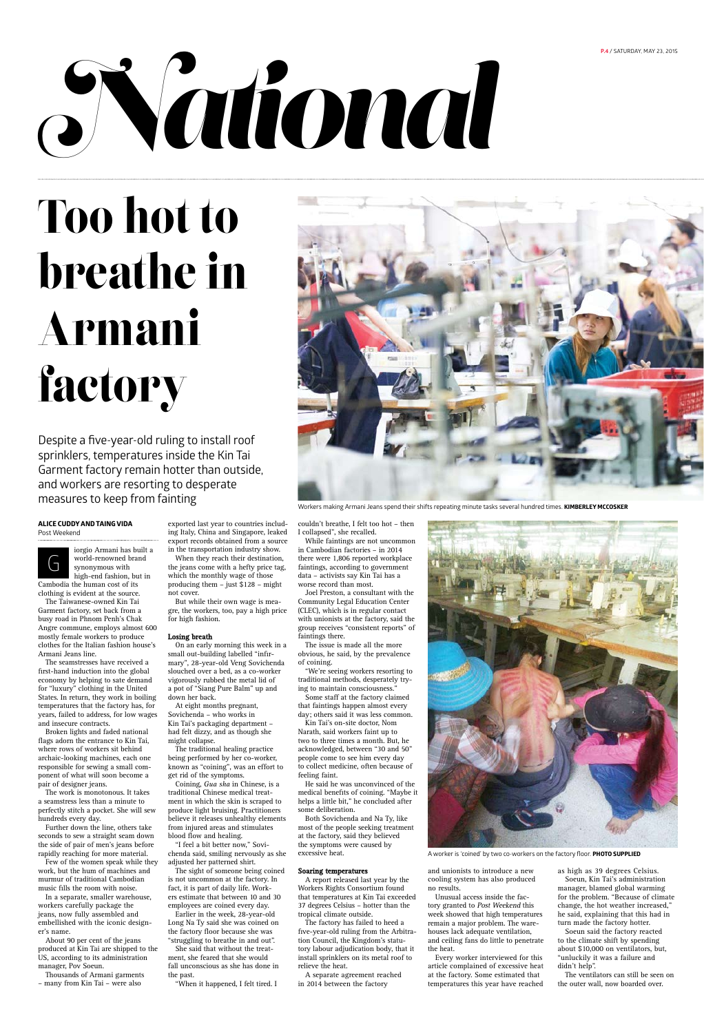# $N$ ational

#### **Alice Cuddy and Taing Vida** Post Weekend



iorgio Armani has built a world-renowned brand synonymous with high-end fashion, but in

Cambodia the human cost of its clothing is evident at the source.

The Taiwanese-owned Kin Tai Garment factory, set back from a busy road in Phnom Penh's Chak Angre commune, employs almost 600 mostly female workers to produce clothes for the Italian fashion house's Armani Jeans line.

The seamstresses have received a first-hand induction into the global economy by helping to sate demand for "luxury" clothing in the United States. In return, they work in boiling temperatures that the factory has, for years, failed to address, for low wages and insecure contracts.

Broken lights and faded national flags adorn the entrance to Kin Tai, where rows of workers sit behind archaic-looking machines, each one responsible for sewing a small component of what will soon become a

pair of designer jeans.

The work is monotonous. It takes a seamstress less than a minute to perfectly stitch a pocket. She will sew hundreds every day.

Further down the line, others take seconds to sew a straight seam down the side of pair of men's jeans before rapidly reaching for more material.

Few of the women speak while they work, but the hum of machines and murmur of traditional Cambodian music fills the room with noise.

In a separate, smaller warehouse, workers carefully package the jeans, now fully assembled and embellished with the iconic designer's name.

About 90 per cent of the jeans produced at Kin Tai are shipped to the US, according to its administration manager, Pov Soeun.

Thousands of Armani garments – many from Kin Tai – were also

exported last year to countries including Italy, China and Singapore, leaked export records obtained from a source in the transportation industry show.

When they reach their destination, the jeans come with a hefty price tag, which the monthly wage of those producing them – just \$128 – might not cover.

But while their own wage is meagre, the workers, too, pay a high price for high fashion.

#### **Losing breath**

On an early morning this week in a small out-building labelled "infirmary", 28-year-old Veng Sovichenda slouched over a bed, as a co-worker vigorously rubbed the metal lid of a pot of "Siang Pure Balm" up and down her back.

At eight months pregnant, Sovichenda – who works in Kin Tai's packaging department – had felt dizzy, and as though she might collapse.

The traditional healing practice being performed by her co-worker, known as "coining", was an effort to get rid of the symptoms. Coining, *Gua sha* in Chinese, is a traditional Chinese medical treatment in which the skin is scraped to produce light bruising. Practitioners believe it releases unhealthy elements from injured areas and stimulates blood flow and healing.



Workers making Armani Jeans spend their shifts repeating minute tasks several hundred times. **KIMBERLEY MCCOSKER** 

"I feel a bit better now," Sovichenda said, smiling nervously as she adjusted her patterned shirt.

The sight of someone being coined is not uncommon at the factory. In fact, it is part of daily life. Workers estimate that between 10 and 30 employees are coined every day.

Earlier in the week, 28-year-old Long Na Ty said she was coined on the factory floor because she was "struggling to breathe in and out".

She said that without the treatment, she feared that she would fall unconscious as she has done in the past.

"When it happened, I felt tired. I

couldn't breathe, I felt too hot – then I collapsed", she recalled.

While faintings are not uncommon in Cambodian factories – in 2014 there were 1,806 reported workplace faintings, according to government data – activists say Kin Tai has a worse record than most.

Joel Preston, a consultant with the Community Legal Education Center (CLEC), which is in regular contact with unionists at the factory, said the group receives "consistent reports" of faintings there.

The issue is made all the more obvious, he said, by the prevalence of coining.

"We're seeing workers resorting to traditional methods, desperately trying to maintain consciousness."

Some staff at the factory claimed that faintings happen almost every day; others said it was less common.

Kin Tai's on-site doctor, Nom Narath, said workers faint up to two to three times a month. But, he acknowledged, between "30 and 50" people come to see him every day to collect medicine, often because of feeling faint.



He said he was unconvinced of the medical benefits of coining. "Maybe it helps a little bit," he concluded after some deliberation.

Both Sovichenda and Na Ty, like most of the people seeking treatment at the factory, said they believed the symptoms were caused by excessive heat.

#### **Soaring temperatures**

A report released last year by the Workers Rights Consortium found that temperatures at Kin Tai exceeded 37 degrees Celsius – hotter than the tropical climate outside.

The factory has failed to heed a five-year-old ruling from the Arbitration Council, the Kingdom's statutory labour adjudication body, that it install sprinklers on its metal roof to relieve the heat.

A separate agreement reached in 2014 between the factory

and unionists to introduce a new cooling system has also produced no results.

Unusual access inside the factory granted to Post Weekend this week showed that high temperatures remain a major problem. The warehouses lack adequate ventilation, and ceiling fans do little to penetrate the heat.

Every worker interviewed for this article complained of excessive heat at the factory. Some estimated that temperatures this year have reached as high as 39 degrees Celsius.

Soeun, Kin Tai's administration manager, blamed global warming for the problem. "Because of climate change, the hot weather increased," he said, explaining that this had in turn made the factory hotter.

Soeun said the factory reacted to the climate shift by spending about \$10,000 on ventilators, but, "unluckily it was a failure and didn't help".

The ventilators can still be seen on the outer wall, now boarded over.

Despite a five-year-old ruling to install roof sprinklers, temperatures inside the Kin Tai Garment factory remain hotter than outside, and workers are resorting to desperate measures to keep from fainting

Too hot to breathe in Armani factory

A worker is 'coined' by two co-workers on the factory floor. **PHOTO supplied**